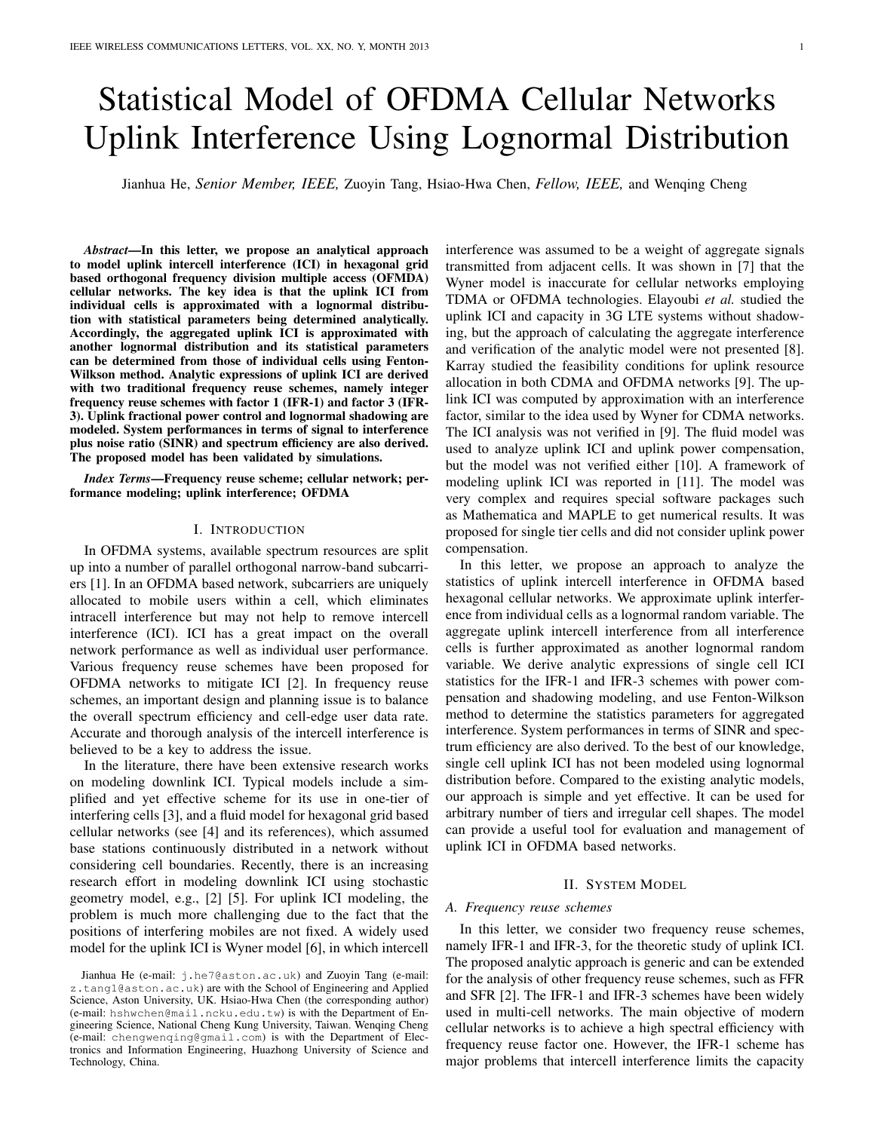# Statistical Model of OFDMA Cellular Networks Uplink Interference Using Lognormal Distribution

Jianhua He, *Senior Member, IEEE,* Zuoyin Tang, Hsiao-Hwa Chen, *Fellow, IEEE,* and Wenqing Cheng

*Abstract*—In this letter, we propose an analytical approach to model uplink intercell interference (ICI) in hexagonal grid based orthogonal frequency division multiple access (OFMDA) cellular networks. The key idea is that the uplink ICI from individual cells is approximated with a lognormal distribution with statistical parameters being determined analytically. Accordingly, the aggregated uplink ICI is approximated with another lognormal distribution and its statistical parameters can be determined from those of individual cells using Fenton-Wilkson method. Analytic expressions of uplink ICI are derived with two traditional frequency reuse schemes, namely integer frequency reuse schemes with factor 1 (IFR-1) and factor 3 (IFR-3). Uplink fractional power control and lognormal shadowing are modeled. System performances in terms of signal to interference plus noise ratio (SINR) and spectrum efficiency are also derived. The proposed model has been validated by simulations.

*Index Terms*—Frequency reuse scheme; cellular network; performance modeling; uplink interference; OFDMA

# I. INTRODUCTION

In OFDMA systems, available spectrum resources are split up into a number of parallel orthogonal narrow-band subcarriers [1]. In an OFDMA based network, subcarriers are uniquely allocated to mobile users within a cell, which eliminates intracell interference but may not help to remove intercell interference (ICI). ICI has a great impact on the overall network performance as well as individual user performance. Various frequency reuse schemes have been proposed for OFDMA networks to mitigate ICI [2]. In frequency reuse schemes, an important design and planning issue is to balance the overall spectrum efficiency and cell-edge user data rate. Accurate and thorough analysis of the intercell interference is believed to be a key to address the issue.

In the literature, there have been extensive research works on modeling downlink ICI. Typical models include a simplified and yet effective scheme for its use in one-tier of interfering cells [3], and a fluid model for hexagonal grid based cellular networks (see [4] and its references), which assumed base stations continuously distributed in a network without considering cell boundaries. Recently, there is an increasing research effort in modeling downlink ICI using stochastic geometry model, e.g., [2] [5]. For uplink ICI modeling, the problem is much more challenging due to the fact that the positions of interfering mobiles are not fixed. A widely used model for the uplink ICI is Wyner model [6], in which intercell interference was assumed to be a weight of aggregate signals transmitted from adjacent cells. It was shown in [7] that the Wyner model is inaccurate for cellular networks employing TDMA or OFDMA technologies. Elayoubi *et al.* studied the uplink ICI and capacity in 3G LTE systems without shadowing, but the approach of calculating the aggregate interference and verification of the analytic model were not presented [8]. Karray studied the feasibility conditions for uplink resource allocation in both CDMA and OFDMA networks [9]. The uplink ICI was computed by approximation with an interference factor, similar to the idea used by Wyner for CDMA networks. The ICI analysis was not verified in [9]. The fluid model was used to analyze uplink ICI and uplink power compensation, but the model was not verified either [10]. A framework of modeling uplink ICI was reported in [11]. The model was very complex and requires special software packages such as Mathematica and MAPLE to get numerical results. It was proposed for single tier cells and did not consider uplink power compensation.

In this letter, we propose an approach to analyze the statistics of uplink intercell interference in OFDMA based hexagonal cellular networks. We approximate uplink interference from individual cells as a lognormal random variable. The aggregate uplink intercell interference from all interference cells is further approximated as another lognormal random variable. We derive analytic expressions of single cell ICI statistics for the IFR-1 and IFR-3 schemes with power compensation and shadowing modeling, and use Fenton-Wilkson method to determine the statistics parameters for aggregated interference. System performances in terms of SINR and spectrum efficiency are also derived. To the best of our knowledge, single cell uplink ICI has not been modeled using lognormal distribution before. Compared to the existing analytic models, our approach is simple and yet effective. It can be used for arbitrary number of tiers and irregular cell shapes. The model can provide a useful tool for evaluation and management of uplink ICI in OFDMA based networks.

#### II. SYSTEM MODEL

#### *A. Frequency reuse schemes*

In this letter, we consider two frequency reuse schemes, namely IFR-1 and IFR-3, for the theoretic study of uplink ICI. The proposed analytic approach is generic and can be extended for the analysis of other frequency reuse schemes, such as FFR and SFR [2]. The IFR-1 and IFR-3 schemes have been widely used in multi-cell networks. The main objective of modern cellular networks is to achieve a high spectral efficiency with frequency reuse factor one. However, the IFR-1 scheme has major problems that intercell interference limits the capacity

Jianhua He (e-mail: j.he7@aston.ac.uk) and Zuoyin Tang (e-mail: z.tang1@aston.ac.uk) are with the School of Engineering and Applied Science, Aston University, UK. Hsiao-Hwa Chen (the corresponding author) (e-mail: hshwchen@mail.ncku.edu.tw) is with the Department of Engineering Science, National Cheng Kung University, Taiwan. Wenqing Cheng (e-mail: chengwenqing@gmail.com) is with the Department of Electronics and Information Engineering, Huazhong University of Science and Technology, China.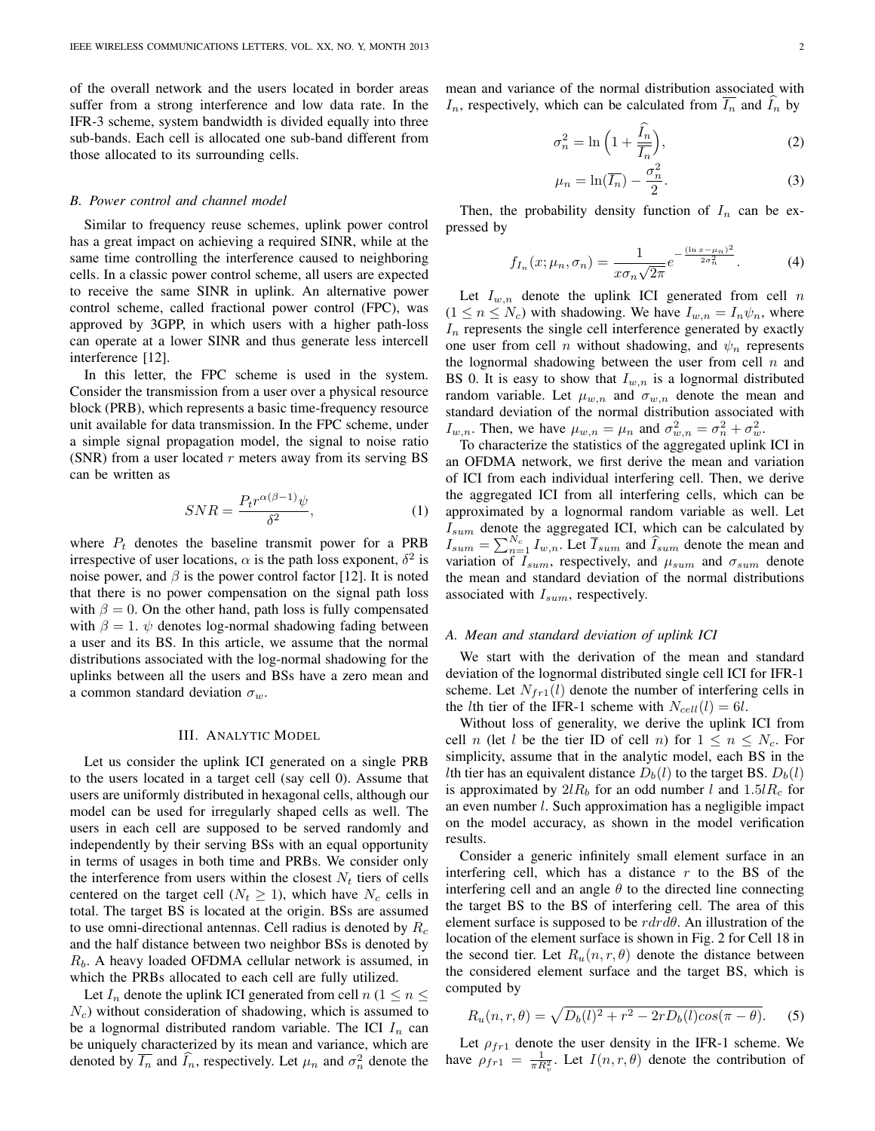of the overall network and the users located in border areas suffer from a strong interference and low data rate. In the IFR-3 scheme, system bandwidth is divided equally into three sub-bands. Each cell is allocated one sub-band different from those allocated to its surrounding cells.

#### *B. Power control and channel model*

Similar to frequency reuse schemes, uplink power control has a great impact on achieving a required SINR, while at the same time controlling the interference caused to neighboring cells. In a classic power control scheme, all users are expected to receive the same SINR in uplink. An alternative power control scheme, called fractional power control (FPC), was approved by 3GPP, in which users with a higher path-loss can operate at a lower SINR and thus generate less intercell interference [12].

In this letter, the FPC scheme is used in the system. Consider the transmission from a user over a physical resource block (PRB), which represents a basic time-frequency resource unit available for data transmission. In the FPC scheme, under a simple signal propagation model, the signal to noise ratio (SNR) from a user located  $r$  meters away from its serving BS can be written as

$$
SNR = \frac{P_t r^{\alpha(\beta - 1)} \psi}{\delta^2},\tag{1}
$$

where  $P_t$  denotes the baseline transmit power for a PRB irrespective of user locations,  $\alpha$  is the path loss exponent,  $\delta^2$  is noise power, and  $\beta$  is the power control factor [12]. It is noted that there is no power compensation on the signal path loss with  $\beta = 0$ . On the other hand, path loss is fully compensated with  $\beta = 1$ .  $\psi$  denotes log-normal shadowing fading between a user and its BS. In this article, we assume that the normal distributions associated with the log-normal shadowing for the uplinks between all the users and BSs have a zero mean and a common standard deviation  $\sigma_w$ .

## III. ANALYTIC MODEL

Let us consider the uplink ICI generated on a single PRB to the users located in a target cell (say cell 0). Assume that users are uniformly distributed in hexagonal cells, although our model can be used for irregularly shaped cells as well. The users in each cell are supposed to be served randomly and independently by their serving BSs with an equal opportunity in terms of usages in both time and PRBs. We consider only the interference from users within the closest  $N_t$  tiers of cells centered on the target cell ( $N_t \geq 1$ ), which have  $N_c$  cells in total. The target BS is located at the origin. BSs are assumed to use omni-directional antennas. Cell radius is denoted by  $R_c$ and the half distance between two neighbor BSs is denoted by  $R_b$ . A heavy loaded OFDMA cellular network is assumed, in which the PRBs allocated to each cell are fully utilized.

Let  $I_n$  denote the uplink ICI generated from cell  $n (1 \le n \le n)$  $N_c$ ) without consideration of shadowing, which is assumed to be a lognormal distributed random variable. The ICI  $I_n$  can be uniquely characterized by its mean and variance, which are denoted by  $\overline{I_n}$  and  $\widehat{I_n}$ , respectively. Let  $\mu_n$  and  $\sigma_n^2$  denote the mean and variance of the normal distribution associated with  $I_n$ , respectively, which can be calculated from  $I_n$  and  $I_n$  by

$$
\sigma_n^2 = \ln\left(1 + \frac{\tilde{I}_n}{\overline{I}_n}\right),\tag{2}
$$

$$
\mu_n = \ln(\overline{I_n}) - \frac{\sigma_n^2}{2}.\tag{3}
$$

Then, the probability density function of  $I_n$  can be expressed by

$$
f_{I_n}(x; \mu_n, \sigma_n) = \frac{1}{x \sigma_n \sqrt{2\pi}} e^{-\frac{(\ln x - \mu_n)^2}{2\sigma_n^2}}.
$$
 (4)

Let  $I_{w,n}$  denote the uplink ICI generated from cell n  $(1 \le n \le N_c)$  with shadowing. We have  $I_{w,n} = I_n \psi_n$ , where  $I_n$  represents the single cell interference generated by exactly one user from cell *n* without shadowing, and  $\psi_n$  represents the lognormal shadowing between the user from cell  $n$  and BS 0. It is easy to show that  $I_{w,n}$  is a lognormal distributed random variable. Let  $\mu_{w,n}$  and  $\sigma_{w,n}$  denote the mean and standard deviation of the normal distribution associated with  $I_{w,n}$ . Then, we have  $\mu_{w,n} = \mu_n$  and  $\sigma_{w,n}^2 = \sigma_n^2 + \sigma_w^2$ .

To characterize the statistics of the aggregated uplink ICI in an OFDMA network, we first derive the mean and variation of ICI from each individual interfering cell. Then, we derive the aggregated ICI from all interfering cells, which can be approximated by a lognormal random variable as well. Let  $I_{sum}$  denote the aggregated ICI, which can be calculated by  $I_{sum} = \sum_{n=1}^{N_c} I_{w,n}$ . Let  $\overline{I}_{sum}$  and  $\widehat{I}_{sum}$  denote the mean and variation of  $I_{sum}$ , respectively, and  $\mu_{sum}$  and  $\sigma_{sum}$  denote the mean and standard deviation of the normal distributions associated with  $I_{sum}$ , respectively.

# *A. Mean and standard deviation of uplink ICI*

We start with the derivation of the mean and standard deviation of the lognormal distributed single cell ICI for IFR-1 scheme. Let  $N_{fr1}(l)$  denote the number of interfering cells in the *l*th tier of the IFR-1 scheme with  $N_{cell}(l) = 6l$ .

Without loss of generality, we derive the uplink ICI from cell *n* (let *l* be the tier ID of cell *n*) for  $1 \le n \le N_c$ . For simplicity, assume that in the analytic model, each BS in the Ith tier has an equivalent distance  $D_b(l)$  to the target BS.  $D_b(l)$ is approximated by  $2lR_b$  for an odd number l and  $1.5lR_c$  for an even number l. Such approximation has a negligible impact on the model accuracy, as shown in the model verification results.

Consider a generic infinitely small element surface in an interfering cell, which has a distance  $r$  to the BS of the interfering cell and an angle  $\theta$  to the directed line connecting the target BS to the BS of interfering cell. The area of this element surface is supposed to be  $r dr d\theta$ . An illustration of the location of the element surface is shown in Fig. 2 for Cell 18 in the second tier. Let  $R_u(n, r, \theta)$  denote the distance between the considered element surface and the target BS, which is computed by

$$
R_u(n, r, \theta) = \sqrt{D_b(l)^2 + r^2 - 2rD_b(l)\cos(\pi - \theta)}.
$$
 (5)

Let  $\rho_{fr1}$  denote the user density in the IFR-1 scheme. We have  $\rho_{fr1} = \frac{1}{\pi R_v^2}$ . Let  $I(n, r, \theta)$  denote the contribution of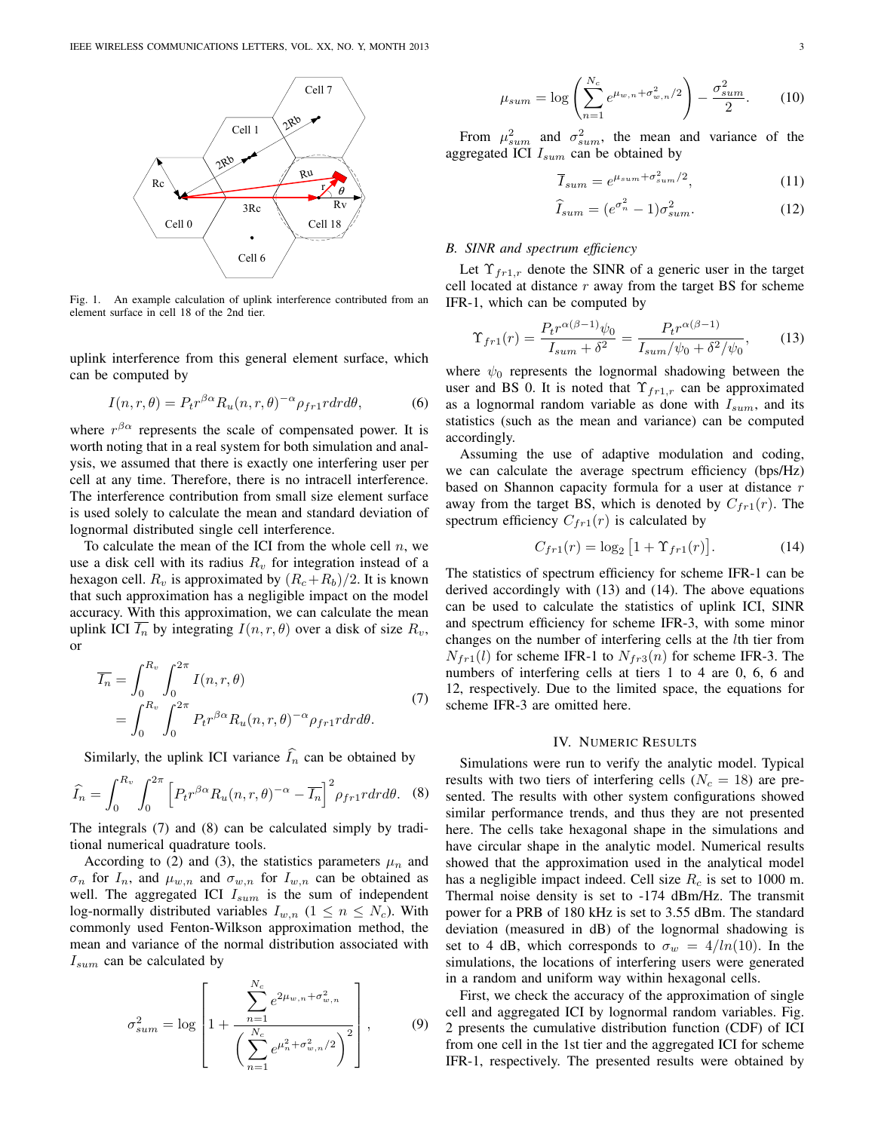

Fig. 1. An example calculation of uplink interference contributed from an element surface in cell 18 of the 2nd tier.

uplink interference from this general element surface, which can be computed by

$$
I(n,r,\theta) = P_t r^{\beta \alpha} R_u(n,r,\theta)^{-\alpha} \rho_{fr1} r dr d\theta,
$$
 (6)

where  $r^{\beta\alpha}$  represents the scale of compensated power. It is worth noting that in a real system for both simulation and analysis, we assumed that there is exactly one interfering user per cell at any time. Therefore, there is no intracell interference. The interference contribution from small size element surface is used solely to calculate the mean and standard deviation of lognormal distributed single cell interference.

To calculate the mean of the ICI from the whole cell  $n$ , we use a disk cell with its radius  $R_v$  for integration instead of a hexagon cell.  $R_v$  is approximated by  $(R_c+R_b)/2$ . It is known that such approximation has a negligible impact on the model accuracy. With this approximation, we can calculate the mean uplink ICI  $\overline{I_n}$  by integrating  $I(n, r, \theta)$  over a disk of size  $R_v$ , or

$$
\overline{I_n} = \int_0^{R_v} \int_0^{2\pi} I(n, r, \theta) \n= \int_0^{R_v} \int_0^{2\pi} P_t r^{\beta \alpha} R_u(n, r, \theta)^{-\alpha} \rho_{fr1} r dr d\theta.
$$
\n(7)

Similarly, the uplink ICI variance  $\widehat{I}_n$  can be obtained by

$$
\widehat{I}_n = \int_0^{R_v} \int_0^{2\pi} \left[ P_t r^{\beta \alpha} R_u(n, r, \theta)^{-\alpha} - \overline{I_n} \right]^2 \rho_{fr1} r dr d\theta. \tag{8}
$$

The integrals (7) and (8) can be calculated simply by traditional numerical quadrature tools.

According to (2) and (3), the statistics parameters  $\mu_n$  and  $\sigma_n$  for  $I_n$ , and  $\mu_{w,n}$  and  $\sigma_{w,n}$  for  $I_{w,n}$  can be obtained as well. The aggregated ICI  $I_{sum}$  is the sum of independent log-normally distributed variables  $I_{w,n}$   $(1 \leq n \leq N_c)$ . With commonly used Fenton-Wilkson approximation method, the mean and variance of the normal distribution associated with  $I_{sum}$  can be calculated by

$$
\sigma_{sum}^{2} = \log \left[ 1 + \frac{\sum_{n=1}^{N_c} e^{2\mu_{w,n} + \sigma_{w,n}^{2}}}{\left(\sum_{n=1}^{N_c} e^{\mu_n^{2} + \sigma_{w,n}^{2}/2}\right)^{2}} \right],
$$
(9)

$$
\mu_{sum} = \log \left( \sum_{n=1}^{N_c} e^{\mu_{w,n} + \sigma_{w,n}^2/2} \right) - \frac{\sigma_{sum}^2}{2}.
$$
 (10)

From  $\mu_{sum}^2$  and  $\sigma_{sum}^2$ , the mean and variance of the aggregated ICI  $I_{sum}$  can be obtained by

$$
\overline{I}_{sum} = e^{\mu_{sum} + \sigma_{sum}^2/2}, \tag{11}
$$

$$
\widehat{I}_{sum} = (e^{\sigma_n^2} - 1)\sigma_{sum}^2.
$$
 (12)

# *B. SINR and spectrum efficiency*

Let  $\Upsilon_{fr1,r}$  denote the SINR of a generic user in the target cell located at distance  $r$  away from the target BS for scheme IFR-1, which can be computed by

$$
\Upsilon_{fr1}(r) = \frac{P_t r^{\alpha(\beta - 1)} \psi_0}{I_{sum} + \delta^2} = \frac{P_t r^{\alpha(\beta - 1)}}{I_{sum} / \psi_0 + \delta^2 / \psi_0},\tag{13}
$$

where  $\psi_0$  represents the lognormal shadowing between the user and BS 0. It is noted that  $\Upsilon_{fr1,r}$  can be approximated as a lognormal random variable as done with  $I_{sum}$ , and its statistics (such as the mean and variance) can be computed accordingly.

Assuming the use of adaptive modulation and coding, we can calculate the average spectrum efficiency (bps/Hz) based on Shannon capacity formula for a user at distance  $r$ away from the target BS, which is denoted by  $C_{fr1}(r)$ . The spectrum efficiency  $C_{fr1}(r)$  is calculated by

$$
C_{fr1}(r) = \log_2 [1 + \Upsilon_{fr1}(r)].
$$
 (14)

The statistics of spectrum efficiency for scheme IFR-1 can be derived accordingly with (13) and (14). The above equations can be used to calculate the statistics of uplink ICI, SINR and spectrum efficiency for scheme IFR-3, with some minor changes on the number of interfering cells at the lth tier from  $N_{fr1}(l)$  for scheme IFR-1 to  $N_{fr3}(n)$  for scheme IFR-3. The numbers of interfering cells at tiers 1 to 4 are 0, 6, 6 and 12, respectively. Due to the limited space, the equations for scheme IFR-3 are omitted here.

#### IV. NUMERIC RESULTS

Simulations were run to verify the analytic model. Typical results with two tiers of interfering cells ( $N_c = 18$ ) are presented. The results with other system configurations showed similar performance trends, and thus they are not presented here. The cells take hexagonal shape in the simulations and have circular shape in the analytic model. Numerical results showed that the approximation used in the analytical model has a negligible impact indeed. Cell size  $R_c$  is set to 1000 m. Thermal noise density is set to -174 dBm/Hz. The transmit power for a PRB of 180 kHz is set to 3.55 dBm. The standard deviation (measured in dB) of the lognormal shadowing is set to 4 dB, which corresponds to  $\sigma_w = 4/ln(10)$ . In the simulations, the locations of interfering users were generated in a random and uniform way within hexagonal cells.

First, we check the accuracy of the approximation of single cell and aggregated ICI by lognormal random variables. Fig. 2 presents the cumulative distribution function (CDF) of ICI from one cell in the 1st tier and the aggregated ICI for scheme IFR-1, respectively. The presented results were obtained by